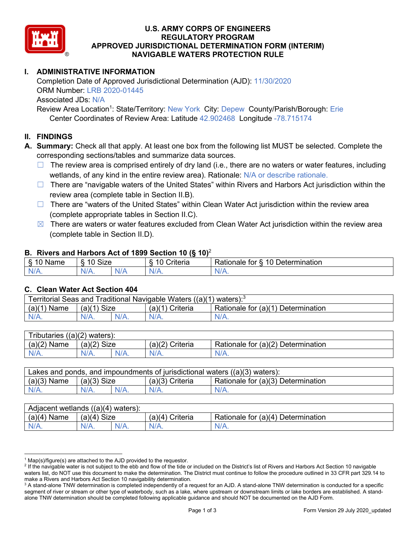

## **U.S. ARMY CORPS OF ENGINEERS REGULATORY PROGRAM APPROVED JURISDICTIONAL DETERMINATION FORM (INTERIM) NAVIGABLE WATERS PROTECTION RULE**

# **I. ADMINISTRATIVE INFORMATION**

Completion Date of Approved Jurisdictional Determination (AJD): 11/30/2020 ORM Number: LRB 2020-01445 Associated JDs: N/A Review Area Location<sup>1</sup>: State/Territory: New York City: Depew County/Parish/Borough: Erie

Center Coordinates of Review Area: Latitude 42.902468 Longitude -78.715174

## **II. FINDINGS**

**A. Summary:** Check all that apply. At least one box from the following list MUST be selected. Complete the corresponding sections/tables and summarize data sources.

- $\Box$  The review area is comprised entirely of dry land (i.e., there are no waters or water features, including wetlands, of any kind in the entire review area). Rationale: N/A or describe rationale.
- $\Box$  There are "navigable waters of the United States" within Rivers and Harbors Act jurisdiction within the review area (complete table in Section II.B).
- ☐ There are "waters of the United States" within Clean Water Act jurisdiction within the review area (complete appropriate tables in Section II.C).
- $\boxtimes$  There are waters or water features excluded from Clean Water Act jurisdiction within the review area (complete table in Section II.D).

#### **B. Rivers and Harbors Act of 1899 Section 10 (§ 10)**<sup>2</sup>

| я<br><b></b><br>'vame'<br>υ<br>ູ | Size<br>$\overline{A}$ |     | $\overline{A}$ $\overline{C}$<br>`rıterıa | $\overline{\phantom{a}}$<br>10<br>Jetermination<br>$\sim$<br>tor<br>kationale: |
|----------------------------------|------------------------|-----|-------------------------------------------|--------------------------------------------------------------------------------|
| N/L                              | "<br>'V/A.             | NIA | N/L<br>97 / TV                            | <b>IIA</b><br>n.<br>11 I N.                                                    |

#### **C. Clean Water Act Section 404**

| Territorial Seas and Traditional Navigable Waters ((a)(1)<br>waters): $3$ |                |  |                   |                                    |  |
|---------------------------------------------------------------------------|----------------|--|-------------------|------------------------------------|--|
| (a)(1)<br>Name                                                            | Size<br>(a)(1) |  | $(a)(1)$ Criteria | Rationale for (a)(1) Determination |  |
|                                                                           | N/A.           |  | $N/A$ .           | $N/A$ .                            |  |

| Tributaries<br>$((a)(2)$ waters): |                       |         |                    |                                    |  |
|-----------------------------------|-----------------------|---------|--------------------|------------------------------------|--|
| (a)(2)<br>Name                    | (a)(2)<br><b>Size</b> |         | (a)(2)<br>Criteria | Rationale for (a)(2) Determination |  |
| $N/A$ .                           | N/A.                  | $N/A$ . | $N/A$ .            | N/A.                               |  |

| Lakes and ponds, and impoundments of jurisdictional waters $((a)(3)$ waters): |               |  |                   |                                    |  |
|-------------------------------------------------------------------------------|---------------|--|-------------------|------------------------------------|--|
| $(a)(3)$ Name                                                                 | $(a)(3)$ Size |  | $(a)(3)$ Criteria | Rationale for (a)(3) Determination |  |
| $N/A$ .                                                                       | $N/A$ .       |  | $N/A$ .           | $N/A$ .                            |  |

| Adjacent<br>((a)(4)<br>) waters):<br>wetlands |                       |         |                   |                                          |  |
|-----------------------------------------------|-----------------------|---------|-------------------|------------------------------------------|--|
| (a)(4)<br>Name                                | (a)(4)<br><b>Size</b> |         | (a)(4<br>Criteria | (a)(4)<br>Rationale for<br>Determination |  |
| N/A.                                          | $N/A$ .               | $N/A$ . | $N/A$ .           | $N/A$ .                                  |  |

 $1$  Map(s)/figure(s) are attached to the AJD provided to the requestor.

<sup>&</sup>lt;sup>2</sup> If the navigable water is not subject to the ebb and flow of the tide or included on the District's list of Rivers and Harbors Act Section 10 navigable waters list, do NOT use this document to make the determination. The District must continue to follow the procedure outlined in 33 CFR part 329.14 to make a Rivers and Harbors Act Section 10 navigability determination.

<sup>&</sup>lt;sup>3</sup> A stand-alone TNW determination is completed independently of a request for an AJD. A stand-alone TNW determination is conducted for a specific segment of river or stream or other type of waterbody, such as a lake, where upstream or downstream limits or lake borders are established. A standalone TNW determination should be completed following applicable guidance and should NOT be documented on the AJD Form.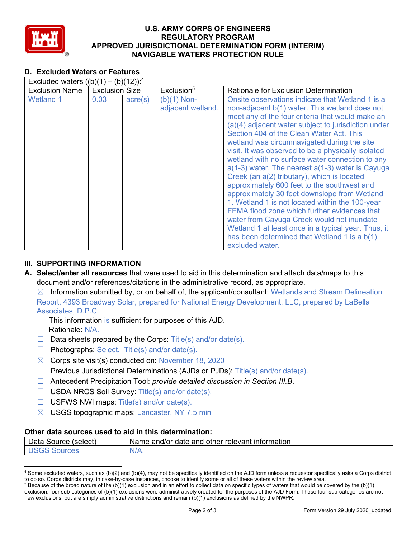

## **U.S. ARMY CORPS OF ENGINEERS REGULATORY PROGRAM APPROVED JURISDICTIONAL DETERMINATION FORM (INTERIM) NAVIGABLE WATERS PROTECTION RULE**

## **D. Excluded Waters or Features**

| Excluded waters $((b)(1) - (b)(12))$ : <sup>4</sup> |                       |                  |                                    |                                                                                                                                                                                                                                                                                                                                                                                                                                                                                                                                                                                                                                                                                                                                                                                                                                                                                                    |
|-----------------------------------------------------|-----------------------|------------------|------------------------------------|----------------------------------------------------------------------------------------------------------------------------------------------------------------------------------------------------------------------------------------------------------------------------------------------------------------------------------------------------------------------------------------------------------------------------------------------------------------------------------------------------------------------------------------------------------------------------------------------------------------------------------------------------------------------------------------------------------------------------------------------------------------------------------------------------------------------------------------------------------------------------------------------------|
| <b>Exclusion Name</b>                               | <b>Exclusion Size</b> |                  | Exclusion <sup>5</sup>             | <b>Rationale for Exclusion Determination</b>                                                                                                                                                                                                                                                                                                                                                                                                                                                                                                                                                                                                                                                                                                                                                                                                                                                       |
| <b>Wetland 1</b>                                    | 0.03                  | $\text{acre}(s)$ | $(b)(1)$ Non-<br>adjacent wetland. | Onsite observations indicate that Wetland 1 is a<br>non-adjacent b(1) water. This wetland does not<br>meet any of the four criteria that would make an<br>(a)(4) adjacent water subject to jurisdiction under<br>Section 404 of the Clean Water Act. This<br>wetland was circumnavigated during the site<br>visit. It was observed to be a physically isolated<br>wetland with no surface water connection to any<br>$a(1-3)$ water. The nearest $a(1-3)$ water is Cayuga<br>Creek (an a(2) tributary), which is located<br>approximately 600 feet to the southwest and<br>approximately 30 feet downslope from Wetland<br>1. Wetland 1 is not located within the 100-year<br>FEMA flood zone which further evidences that<br>water from Cayuga Creek would not inundate<br>Wetland 1 at least once in a typical year. Thus, it<br>has been determined that Wetland 1 is a b(1)<br>excluded water. |

## **III. SUPPORTING INFORMATION**

**A. Select/enter all resources** that were used to aid in this determination and attach data/maps to this document and/or references/citations in the administrative record, as appropriate.

 $\boxtimes$  Information submitted by, or on behalf of, the applicant/consultant: Wetlands and Stream Delineation Report, 4393 Broadway Solar, prepared for National Energy Development, LLC, prepared by LaBella Associates, D.P.C.

This information is sufficient for purposes of this AJD. Rationale: N/A.

- $\Box$  Data sheets prepared by the Corps: Title(s) and/or date(s).
- $\Box$  Photographs: Select. Title(s) and/or date(s).
- $\boxtimes$  Corps site visit(s) conducted on: November 18, 2020
- $\Box$  Previous Jurisdictional Determinations (AJDs or PJDs): Title(s) and/or date(s).
- ☐ Antecedent Precipitation Tool: *provide detailed discussion in Section III.B*.
- □ USDA NRCS Soil Survey: Title(s) and/or date(s).
- $\Box$  USFWS NWI maps: Title(s) and/or date(s).
- ☒ USGS topographic maps: Lancaster, NY 7.5 min

#### **Other data sources used to aid in this determination:**

| -<br>Data<br>Source<br>(select | and/or date<br>mation<br>, other relevant<br>and<br><b>Inform</b><br>Name |
|--------------------------------|---------------------------------------------------------------------------|
| ces                            | $N/A$ .                                                                   |

<sup>4</sup> Some excluded waters, such as (b)(2) and (b)(4), may not be specifically identified on the AJD form unless a requestor specifically asks a Corps district to do so. Corps districts may, in case-by-case instances, choose to identify some or all of these waters within the review area.

 $5$  Because of the broad nature of the (b)(1) exclusion and in an effort to collect data on specific types of waters that would be covered by the (b)(1) exclusion, four sub-categories of (b)(1) exclusions were administratively created for the purposes of the AJD Form. These four sub-categories are not new exclusions, but are simply administrative distinctions and remain (b)(1) exclusions as defined by the NWPR.